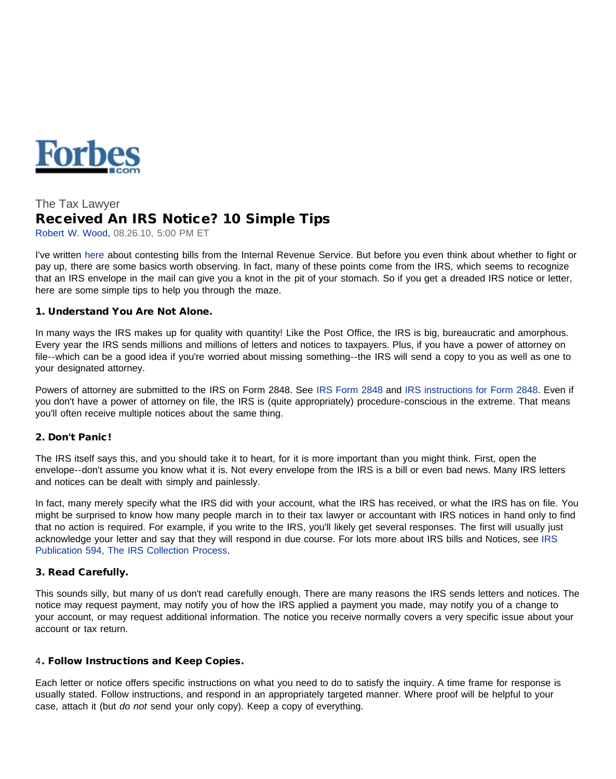

# The Tax Lawyer Received An IRS Notice? 10 Simple Tips

Robert W. Wood, 08.26.10, 5:00 PM ET

I've written [here](http://www.forbes.com/2010/08/05/how-fight-irs-bill-assessment-personal-finance-tax-lawyer-wood.html) about contesting bills from the Internal Revenue Service. But before you even think about whether to fight or pay up, there are some basics worth observing. In fact, many of these points come from the IRS, which seems to recognize that an IRS envelope in the mail can give you a knot in the pit of your stomach. So if you get a dreaded IRS notice or letter, here are some simple tips to help you through the maze.

#### 1. Understand You Are Not Alone.

In many ways the IRS makes up for quality with quantity! Like the Post Office, the IRS is big, bureaucratic and amorphous. Every year the IRS sends millions and millions of letters and notices to taxpayers. Plus, if you have a power of attorney on file--which can be a good idea if you're worried about missing something--the IRS will send a copy to you as well as one to your designated attorney.

Powers of attorney are submitted to the IRS on Form 2848. See [IRS Form 2848](http://www.irs.gov/pub/irs-pdf/f2848.pdf) and [IRS instructions for Form 2848.](http://www.irs.gov/pub/irs-pdf/i2848.pdf) Even if you don't have a power of attorney on file, the IRS is (quite appropriately) procedure-conscious in the extreme. That means you'll often receive multiple notices about the same thing.

### 2. Don't Panic!

The IRS itself says this, and you should take it to heart, for it is more important than you might think. First, open the envelope--don't assume you know what it is. Not every envelope from the IRS is a bill or even bad news. Many IRS letters and notices can be dealt with simply and painlessly.

In fact, many merely specify what the IRS did with your account, what the IRS has received, or what the IRS has on file. You might be surprised to know how many people march in to their tax lawyer or accountant with IRS notices in hand only to find that no action is required. For example, if you write to the IRS, you'll likely get several responses. The first will usually just acknowledge your letter and say that they will respond in due course. For lots more about IRS bills and Notices, see [IRS](http://www.irs.gov/pub/irs-pdf/p594.pdf) [Publication 594, The IRS Collection Process.](http://www.irs.gov/pub/irs-pdf/p594.pdf)

#### 3. Read Carefully.

This sounds silly, but many of us don't read carefully enough. There are many reasons the IRS sends letters and notices. The notice may request payment, may notify you of how the IRS applied a payment you made, may notify you of a change to your account, or may request additional information. The notice you receive normally covers a very specific issue about your account or tax return.

#### 4. Follow Instructions and Keep Copies.

Each letter or notice offers specific instructions on what you need to do to satisfy the inquiry. A time frame for response is usually stated. Follow instructions, and respond in an appropriately targeted manner. Where proof will be helpful to your case, attach it (but *do not* send your only copy). Keep a copy of everything.